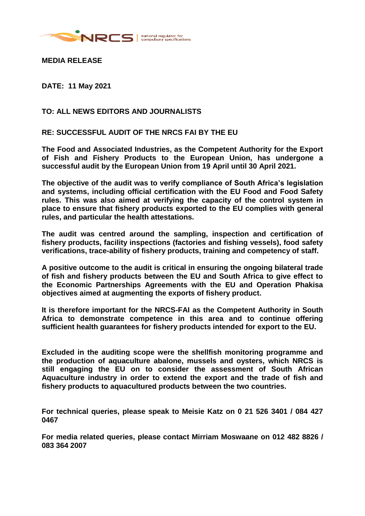

**MEDIA RELEASE**

**DATE: 11 May 2021**

## **TO: ALL NEWS EDITORS AND JOURNALISTS**

## **RE: SUCCESSFUL AUDIT OF THE NRCS FAI BY THE EU**

**The Food and Associated Industries, as the Competent Authority for the Export of Fish and Fishery Products to the European Union, has undergone a successful audit by the European Union from 19 April until 30 April 2021.**

**The objective of the audit was to verify compliance of South Africa's legislation and systems, including official certification with the EU Food and Food Safety rules. This was also aimed at verifying the capacity of the control system in place to ensure that fishery products exported to the EU complies with general rules, and particular the health attestations.** 

**The audit was centred around the sampling, inspection and certification of fishery products, facility inspections (factories and fishing vessels), food safety verifications, trace-ability of fishery products, training and competency of staff.**

**A positive outcome to the audit is critical in ensuring the ongoing bilateral trade of fish and fishery products between the EU and South Africa to give effect to the Economic Partnerships Agreements with the EU and Operation Phakisa objectives aimed at augmenting the exports of fishery product.** 

**It is therefore important for the NRCS-FAI as the Competent Authority in South Africa to demonstrate competence in this area and to continue offering sufficient health guarantees for fishery products intended for export to the EU.**

**Excluded in the auditing scope were the shellfish monitoring programme and the production of aquaculture abalone, mussels and oysters, which NRCS is still engaging the EU on to consider the assessment of South African Aquaculture industry in order to extend the export and the trade of fish and fishery products to aquacultured products between the two countries.** 

**For technical queries, please speak to Meisie Katz on 0 21 526 3401 / 084 427 0467**

**For media related queries, please contact Mirriam Moswaane on 012 482 8826 / 083 364 2007**